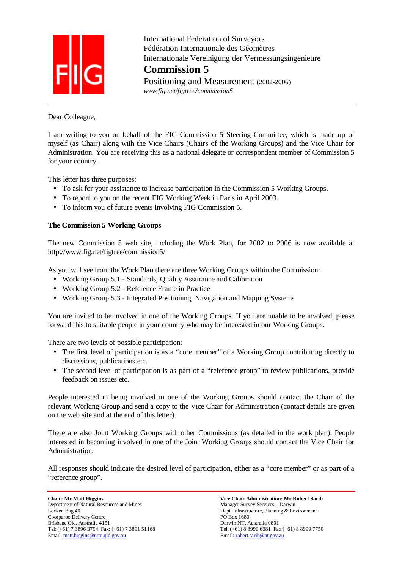

 International Federation of Surveyors Fédération Internationale des Géomètres Internationale Vereinigung der Vermessungsingenieure **Commission 5**

Positioning and Measurement (2002-2006)  *www.fig.net/figtree/commission5* 

Dear Colleague,

I am writing to you on behalf of the FIG Commission 5 Steering Committee, which is made up of myself (as Chair) along with the Vice Chairs (Chairs of the Working Groups) and the Vice Chair for Administration. You are receiving this as a national delegate or correspondent member of Commission 5 for your country.

This letter has three purposes:

- To ask for your assistance to increase participation in the Commission 5 Working Groups.
- To report to you on the recent FIG Working Week in Paris in April 2003.
- To inform you of future events involving FIG Commission 5.

## **The Commission 5 Working Groups**

The new Commission 5 web site, including the Work Plan, for 2002 to 2006 is now available at http://www.fig.net/figtree/commission5/

As you will see from the Work Plan there are three Working Groups within the Commission:

- Working Group 5.1 Standards, Quality Assurance and Calibration
- Working Group 5.2 Reference Frame in Practice
- Working Group 5.3 Integrated Positioning, Navigation and Mapping Systems

You are invited to be involved in one of the Working Groups. If you are unable to be involved, please forward this to suitable people in your country who may be interested in our Working Groups.

There are two levels of possible participation:

- The first level of participation is as a "core member" of a Working Group contributing directly to discussions, publications etc.
- The second level of participation is as part of a "reference group" to review publications, provide feedback on issues etc.

People interested in being involved in one of the Working Groups should contact the Chair of the relevant Working Group and send a copy to the Vice Chair for Administration (contact details are given on the web site and at the end of this letter).

There are also Joint Working Groups with other Commissions (as detailed in the work plan). People interested in becoming involved in one of the Joint Working Groups should contact the Vice Chair for Administration.

All responses should indicate the desired level of participation, either as a "core member" or as part of a "reference group".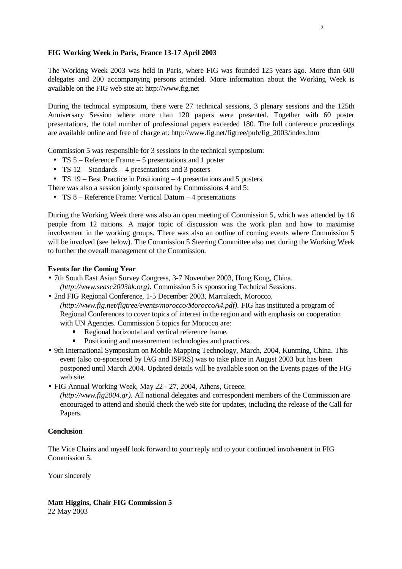## **FIG Working Week in Paris, France 13-17 April 2003**

The Working Week 2003 was held in Paris, where FIG was founded 125 years ago. More than 600 delegates and 200 accompanying persons attended. More information about the Working Week is available on the FIG web site at: http://www.fig.net

During the technical symposium, there were 27 technical sessions, 3 plenary sessions and the 125th Anniversary Session where more than 120 papers were presented. Together with 60 poster presentations, the total number of professional papers exceeded 180. The full conference proceedings are available online and free of charge at: http://www.fig.net/figtree/pub/fig\_2003/index.htm

Commission 5 was responsible for 3 sessions in the technical symposium:

- TS 5 Reference Frame 5 presentations and 1 poster
- TS  $12 -$  Standards  $-4$  presentations and 3 posters
- TS 19 Best Practice in Positioning 4 presentations and 5 posters
- There was also a session jointly sponsored by Commissions 4 and 5:
- TS 8 Reference Frame: Vertical Datum 4 presentations

During the Working Week there was also an open meeting of Commission 5, which was attended by 16 people from 12 nations. A major topic of discussion was the work plan and how to maximise involvement in the working groups. There was also an outline of coming events where Commission 5 will be involved (see below). The Commission 5 Steering Committee also met during the Working Week to further the overall management of the Commission.

## **Events for the Coming Year**

- 7th South East Asian Survey Congress, 3-7 November 2003, Hong Kong, China. *(http://www.seasc2003hk.org).* Commission 5 is sponsoring Technical Sessions.
- 2nd FIG Regional Conference, 1-5 December 2003, Marrakech, Morocco. *(http://www.fig.net/figtree/events/morocco/MoroccoA4.pdf).* FIG has instituted a program of Regional Conferences to cover topics of interest in the region and with emphasis on cooperation with UN Agencies. Commission 5 topics for Morocco are:
	- Regional horizontal and vertical reference frame.
	- Positioning and measurement technologies and practices.
- 9th International Symposium on Mobile Mapping Technology, March, 2004, Kunming, China. This event (also co-sponsored by IAG and ISPRS) was to take place in August 2003 but has been postponed until March 2004. Updated details will be available soon on the Events pages of the FIG web site.
- FIG Annual Working Week, May 22 27, 2004, Athens, Greece.
	- *(http://www.fig2004.gr).* All national delegates and correspondent members of the Commission are encouraged to attend and should check the web site for updates, including the release of the Call for Papers.

## **Conclusion**

The Vice Chairs and myself look forward to your reply and to your continued involvement in FIG Commission 5.

Your sincerely

**Matt Higgins, Chair FIG Commission 5**  22 May 2003